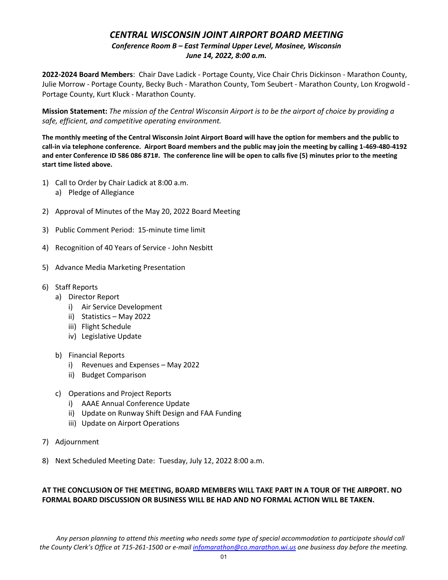## *CENTRAL WISCONSIN JOINT AIRPORT BOARD MEETING Conference Room B – East Terminal Upper Level, Mosinee, Wisconsin June 14, 2022, 8:00 a.m.*

**2022-2024 Board Members**: Chair Dave Ladick - Portage County, Vice Chair Chris Dickinson - Marathon County, Julie Morrow - Portage County, Becky Buch - Marathon County, Tom Seubert - Marathon County, Lon Krogwold - Portage County, Kurt Kluck - Marathon County.

**Mission Statement:** *The mission of the Central Wisconsin Airport is to be the airport of choice by providing a safe, efficient, and competitive operating environment.*

**The monthly meeting of the Central Wisconsin Joint Airport Board will have the option for members and the public to call-in via telephone conference. Airport Board members and the public may join the meeting by calling 1-469-480-4192 and enter Conference ID 586 086 871#. The conference line will be open to calls five (5) minutes prior to the meeting start time listed above.** 

- 1) Call to Order by Chair Ladick at 8:00 a.m.
	- a) Pledge of Allegiance
- 2) Approval of Minutes of the May 20, 2022 Board Meeting
- 3) Public Comment Period: 15-minute time limit
- 4) Recognition of 40 Years of Service John Nesbitt
- 5) Advance Media Marketing Presentation
- 6) Staff Reports
	- a) Director Report
		- i) Air Service Development
		- ii) Statistics May 2022
		- iii) Flight Schedule
		- iv) Legislative Update
	- b) Financial Reports
		- i) Revenues and Expenses May 2022
		- ii) Budget Comparison
	- c) Operations and Project Reports
		- i) AAAE Annual Conference Update
		- ii) Update on Runway Shift Design and FAA Funding
		- iii) Update on Airport Operations
- 7) Adjournment
- 8) Next Scheduled Meeting Date: Tuesday, July 12, 2022 8:00 a.m.

## **AT THE CONCLUSION OF THE MEETING, BOARD MEMBERS WILL TAKE PART IN A TOUR OF THE AIRPORT. NO FORMAL BOARD DISCUSSION OR BUSINESS WILL BE HAD AND NO FORMAL ACTION WILL BE TAKEN.**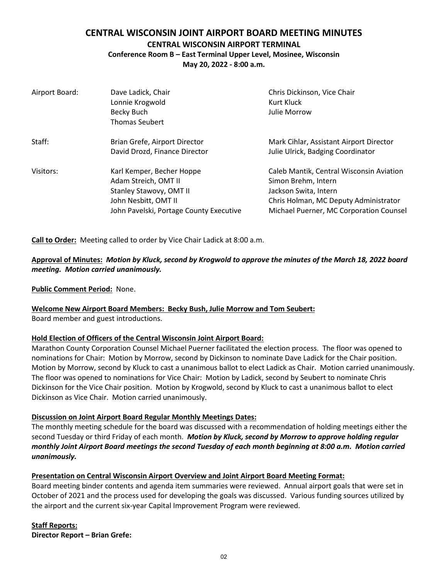## **CENTRAL WISCONSIN JOINT AIRPORT BOARD MEETING MINUTES**

## **CENTRAL WISCONSIN AIRPORT TERMINAL**

**Conference Room B – East Terminal Upper Level, Mosinee, Wisconsin**

**May 20, 2022 - 8:00 a.m.**

| Airport Board: | Dave Ladick, Chair<br>Lonnie Krogwold<br>Becky Buch<br><b>Thomas Seubert</b>                                                                           | Chris Dickinson, Vice Chair<br>Kurt Kluck<br>Julie Morrow                                                                                                                    |
|----------------|--------------------------------------------------------------------------------------------------------------------------------------------------------|------------------------------------------------------------------------------------------------------------------------------------------------------------------------------|
| Staff:         | Brian Grefe, Airport Director<br>David Drozd, Finance Director                                                                                         | Mark Cihlar, Assistant Airport Director<br>Julie Ulrick, Badging Coordinator                                                                                                 |
| Visitors:      | Karl Kemper, Becher Hoppe<br>Adam Streich, OMT II<br><b>Stanley Stawovy, OMT II</b><br>John Nesbitt, OMT II<br>John Pavelski, Portage County Executive | Caleb Mantik, Central Wisconsin Aviation<br>Simon Brehm, Intern<br>Jackson Swita, Intern<br>Chris Holman, MC Deputy Administrator<br>Michael Puerner, MC Corporation Counsel |

**Call to Order:** Meeting called to order by Vice Chair Ladick at 8:00 a.m.

## **Approval of Minutes:** *Motion by Kluck, second by Krogwold to approve the minutes of the March 18, 2022 board meeting. Motion carried unanimously.*

**Public Comment Period:** None.

## **Welcome New Airport Board Members: Becky Bush, Julie Morrow and Tom Seubert:**

Board member and guest introductions.

## **Hold Election of Officers of the Central Wisconsin Joint Airport Board:**

Marathon County Corporation Counsel Michael Puerner facilitated the election process. The floor was opened to nominations for Chair: Motion by Morrow, second by Dickinson to nominate Dave Ladick for the Chair position. Motion by Morrow, second by Kluck to cast a unanimous ballot to elect Ladick as Chair. Motion carried unanimously. The floor was opened to nominations for Vice Chair: Motion by Ladick, second by Seubert to nominate Chris Dickinson for the Vice Chair position. Motion by Krogwold, second by Kluck to cast a unanimous ballot to elect Dickinson as Vice Chair. Motion carried unanimously.

## **Discussion on Joint Airport Board Regular Monthly Meetings Dates:**

The monthly meeting schedule for the board was discussed with a recommendation of holding meetings either the second Tuesday or third Friday of each month. *Motion by Kluck, second by Morrow to approve holding regular monthly Joint Airport Board meetings the second Tuesday of each month beginning at 8:00 a.m. Motion carried unanimously.* 

### **Presentation on Central Wisconsin Airport Overview and Joint Airport Board Meeting Format:**

Board meeting binder contents and agenda item summaries were reviewed. Annual airport goals that were set in October of 2021 and the process used for developing the goals was discussed. Various funding sources utilized by the airport and the current six-year Capital Improvement Program were reviewed.

**Staff Reports: Director Report – Brian Grefe:**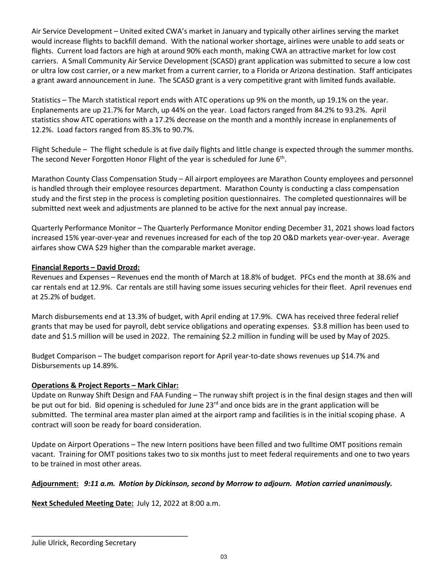Air Service Development – United exited CWA's market in January and typically other airlines serving the market would increase flights to backfill demand. With the national worker shortage, airlines were unable to add seats or flights. Current load factors are high at around 90% each month, making CWA an attractive market for low cost carriers. A Small Community Air Service Development (SCASD) grant application was submitted to secure a low cost or ultra low cost carrier, or a new market from a current carrier, to a Florida or Arizona destination. Staff anticipates a grant award announcement in June. The SCASD grant is a very competitive grant with limited funds available.

Statistics – The March statistical report ends with ATC operations up 9% on the month, up 19.1% on the year. Enplanements are up 21.7% for March, up 44% on the year. Load factors ranged from 84.2% to 93.2%. April statistics show ATC operations with a 17.2% decrease on the month and a monthly increase in enplanements of 12.2%. Load factors ranged from 85.3% to 90.7%.

Flight Schedule – The flight schedule is at five daily flights and little change is expected through the summer months. The second Never Forgotten Honor Flight of the year is scheduled for June 6<sup>th</sup>.

Marathon County Class Compensation Study – All airport employees are Marathon County employees and personnel is handled through their employee resources department. Marathon County is conducting a class compensation study and the first step in the process is completing position questionnaires. The completed questionnaires will be submitted next week and adjustments are planned to be active for the next annual pay increase.

Quarterly Performance Monitor – The Quarterly Performance Monitor ending December 31, 2021 shows load factors increased 15% year-over-year and revenues increased for each of the top 20 O&D markets year-over-year. Average airfares show CWA \$29 higher than the comparable market average.

## **Financial Reports – David Drozd:**

Revenues and Expenses – Revenues end the month of March at 18.8% of budget. PFCs end the month at 38.6% and car rentals end at 12.9%. Car rentals are still having some issues securing vehicles for their fleet. April revenues end at 25.2% of budget.

March disbursements end at 13.3% of budget, with April ending at 17.9%. CWA has received three federal relief grants that may be used for payroll, debt service obligations and operating expenses. \$3.8 million has been used to date and \$1.5 million will be used in 2022. The remaining \$2.2 million in funding will be used by May of 2025.

Budget Comparison – The budget comparison report for April year-to-date shows revenues up \$14.7% and Disbursements up 14.89%.

### **Operations & Project Reports – Mark Cihlar:**

Update on Runway Shift Design and FAA Funding – The runway shift project is in the final design stages and then will be put out for bid. Bid opening is scheduled for June 23<sup>rd</sup> and once bids are in the grant application will be submitted. The terminal area master plan aimed at the airport ramp and facilities is in the initial scoping phase. A contract will soon be ready for board consideration.

Update on Airport Operations – The new Intern positions have been filled and two fulltime OMT positions remain vacant. Training for OMT positions takes two to six months just to meet federal requirements and one to two years to be trained in most other areas.

## **Adjournment:** *9:11 a.m. Motion by Dickinson, second by Morrow to adjourn. Motion carried unanimously.*

**Next Scheduled Meeting Date:** July 12, 2022 at 8:00 a.m.

\_\_\_\_\_\_\_\_\_\_\_\_\_\_\_\_\_\_\_\_\_\_\_\_\_\_\_\_\_\_\_\_\_\_\_\_\_\_\_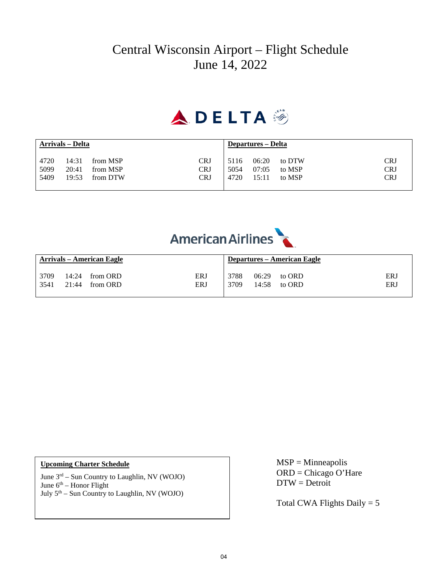## Central Wisconsin Airport – Flight Schedule June 14, 2022

# A.DELTA :

| Arrivals – Delta |       | Departures – Delta |            |      |       |        |            |
|------------------|-------|--------------------|------------|------|-------|--------|------------|
| 4720             | 14:31 | from MSP           | CRJ        | 5116 | 06:20 | to DTW | <b>CRJ</b> |
| 5099             | 20:41 | from MSP           | CRJ        | 5054 | 07:05 | to MSP | <b>CRJ</b> |
| 5409             | 19:53 | from DTW           | <b>CRJ</b> | 4720 | 15:11 | to MSP | <b>CRJ</b> |



| <b>Arrivals – American Eagle</b> |  |                  | <b>Departures – American Eagle</b> |      |       |        |            |
|----------------------------------|--|------------------|------------------------------------|------|-------|--------|------------|
| 3709                             |  | 14:24 from ORD   | <b>ERJ</b>                         | 3788 | 06:29 | to ORD | <b>ERJ</b> |
| 3541                             |  | $21:44$ from ORD | <b>ERJ</b>                         | 3709 | 14:58 | to ORD | ERJ        |

June 3rd – Sun Country to Laughlin, NV (WOJO) June  $6<sup>th</sup>$  – Honor Flight July 5th – Sun Country to Laughlin, NV (WOJO)

Upcoming Charter Schedule<br>
MSP = Minneapolis ORD = Chicago O'Hare DTW = Detroit

Total CWA Flights Daily  $= 5$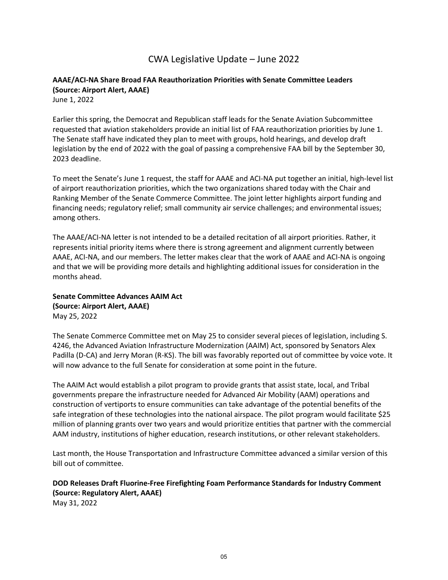## CWA Legislative Update – June 2022

## **AAAE/ACI-NA Share Broad FAA Reauthorization Priorities with Senate Committee Leaders (Source: Airport Alert, AAAE)**

June 1, 2022

Earlier this spring, the Democrat and Republican staff leads for the Senate Aviation Subcommittee requested that aviation stakeholders provide an initial list of FAA reauthorization priorities by June 1. The Senate staff have indicated they plan to meet with groups, hold hearings, and develop draft legislation by the end of 2022 with the goal of passing a comprehensive FAA bill by the September 30, 2023 deadline.

To meet the Senate's June 1 request, the staff for AAAE and ACI-NA put together an initial, high-level list of airport reauthorization priorities, which the two organizations shared today with the Chair and Ranking Member of the Senate Commerce Committee. The joint letter highlights airport funding and financing needs; regulatory relief; small community air service challenges; and environmental issues; among others.

The AAAE/ACI-NA letter is not intended to be a detailed recitation of all airport priorities. Rather, it represents initial priority items where there is strong agreement and alignment currently between AAAE, ACI-NA, and our members. The letter makes clear that the work of AAAE and ACI-NA is ongoing and that we will be providing more details and highlighting additional issues for consideration in the months ahead.

**Senate Committee Advances AAIM Act (Source: Airport Alert, AAAE)** May 25, 2022

The Senate Commerce Committee met on May 25 to consider several pieces of legislation, including S. 4246, the Advanced Aviation Infrastructure Modernization (AAIM) Act, sponsored by Senators Alex Padilla (D-CA) and Jerry Moran (R-KS). The bill was favorably reported out of committee by voice vote. It will now advance to the full Senate for consideration at some point in the future.

The AAIM Act would establish a pilot program to provide grants that assist state, local, and Tribal governments prepare the infrastructure needed for Advanced Air Mobility (AAM) operations and construction of vertiports to ensure communities can take advantage of the potential benefits of the safe integration of these technologies into the national airspace. The pilot program would facilitate \$25 million of planning grants over two years and would prioritize entities that partner with the commercial AAM industry, institutions of higher education, research institutions, or other relevant stakeholders.

Last month, the House Transportation and Infrastructure Committee advanced a similar version of this bill out of committee.

**DOD Releases Draft Fluorine-Free Firefighting Foam Performance Standards for Industry Comment (Source: Regulatory Alert, AAAE)**

May 31, 2022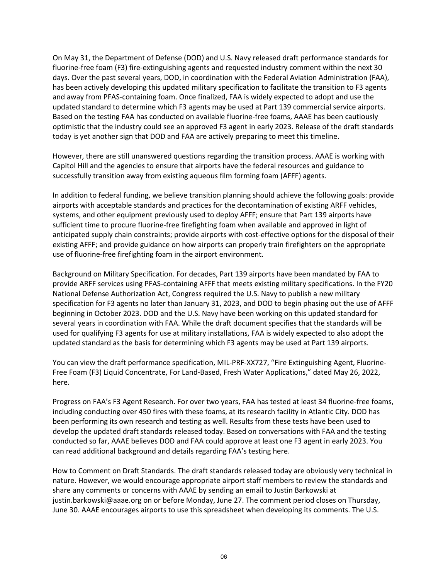On May 31, the Department of Defense (DOD) and U.S. Navy released draft performance standards for fluorine-free foam (F3) fire-extinguishing agents and requested industry comment within the next 30 days. Over the past several years, DOD, in coordination with the Federal Aviation Administration (FAA), has been actively developing this updated military specification to facilitate the transition to F3 agents and away from PFAS-containing foam. Once finalized, FAA is widely expected to adopt and use the updated standard to determine which F3 agents may be used at Part 139 commercial service airports. Based on the testing FAA has conducted on available fluorine-free foams, AAAE has been cautiously optimistic that the industry could see an approved F3 agent in early 2023. Release of the draft standards today is yet another sign that DOD and FAA are actively preparing to meet this timeline.

However, there are still unanswered questions regarding the transition process. AAAE is working with Capitol Hill and the agencies to ensure that airports have the federal resources and guidance to successfully transition away from existing aqueous film forming foam (AFFF) agents.

In addition to federal funding, we believe transition planning should achieve the following goals: provide airports with acceptable standards and practices for the decontamination of existing ARFF vehicles, systems, and other equipment previously used to deploy AFFF; ensure that Part 139 airports have sufficient time to procure fluorine-free firefighting foam when available and approved in light of anticipated supply chain constraints; provide airports with cost-effective options for the disposal of their existing AFFF; and provide guidance on how airports can properly train firefighters on the appropriate use of fluorine-free firefighting foam in the airport environment.

Background on Military Specification. For decades, Part 139 airports have been mandated by FAA to provide ARFF services using PFAS-containing AFFF that meets existing military specifications. In the FY20 National Defense Authorization Act, Congress required the U.S. Navy to publish a new military specification for F3 agents no later than January 31, 2023, and DOD to begin phasing out the use of AFFF beginning in October 2023. DOD and the U.S. Navy have been working on this updated standard for several years in coordination with FAA. While the draft document specifies that the standards will be used for qualifying F3 agents for use at military installations, FAA is widely expected to also adopt the updated standard as the basis for determining which F3 agents may be used at Part 139 airports.

You can view the draft performance specification, MIL-PRF-XX727, "Fire Extinguishing Agent, Fluorine-Free Foam (F3) Liquid Concentrate, For Land-Based, Fresh Water Applications," dated May 26, 2022, here.

Progress on FAA's F3 Agent Research. For over two years, FAA has tested at least 34 fluorine-free foams, including conducting over 450 fires with these foams, at its research facility in Atlantic City. DOD has been performing its own research and testing as well. Results from these tests have been used to develop the updated draft standards released today. Based on conversations with FAA and the testing conducted so far, AAAE believes DOD and FAA could approve at least one F3 agent in early 2023. You can read additional background and details regarding FAA's testing here.

How to Comment on Draft Standards. The draft standards released today are obviously very technical in nature. However, we would encourage appropriate airport staff members to review the standards and share any comments or concerns with AAAE by sending an email to Justin Barkowski at justin.barkowski@aaae.org on or before Monday, June 27. The comment period closes on Thursday, June 30. AAAE encourages airports to use this spreadsheet when developing its comments. The U.S.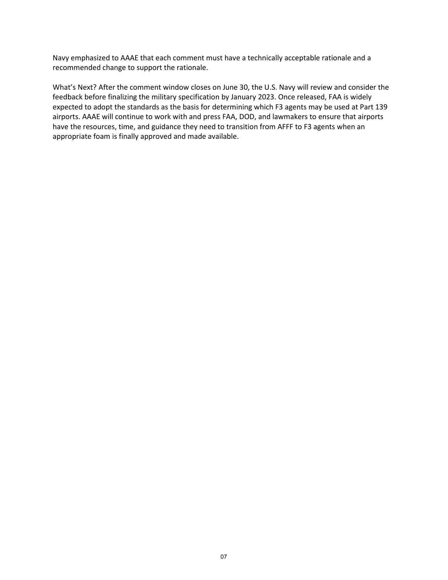Navy emphasized to AAAE that each comment must have a technically acceptable rationale and a recommended change to support the rationale.

What's Next? After the comment window closes on June 30, the U.S. Navy will review and consider the feedback before finalizing the military specification by January 2023. Once released, FAA is widely expected to adopt the standards as the basis for determining which F3 agents may be used at Part 139 airports. AAAE will continue to work with and press FAA, DOD, and lawmakers to ensure that airports have the resources, time, and guidance they need to transition from AFFF to F3 agents when an appropriate foam is finally approved and made available.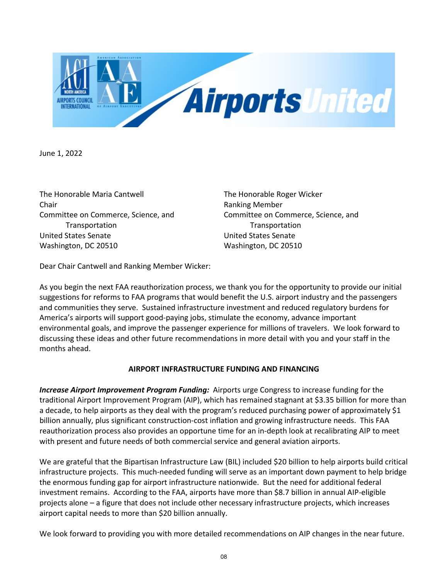

June 1, 2022

The Honorable Maria Cantwell The Honorable Roger Wicker Chair **Chair Chair Chair Chair Chair Chair Chair Chair Chair Chair Chair Chair Chair Chair Chair Chair Chair Chair Chair Chair Chair Chair Chair Chair Chair Chair Chair** Committee on Commerce, Science, and Committee on Commerce, Science, and Transportation Transportation United States Senate United States Senate Washington, DC 20510 Washington, DC 20510

Dear Chair Cantwell and Ranking Member Wicker:

As you begin the next FAA reauthorization process, we thank you for the opportunity to provide our initial suggestions for reforms to FAA programs that would benefit the U.S. airport industry and the passengers and communities they serve. Sustained infrastructure investment and reduced regulatory burdens for America's airports will support good-paying jobs, stimulate the economy, advance important environmental goals, and improve the passenger experience for millions of travelers. We look forward to discussing these ideas and other future recommendations in more detail with you and your staff in the months ahead.

## **AIRPORT INFRASTRUCTURE FUNDING AND FINANCING**

*Increase Airport Improvement Program Funding:* Airports urge Congress to increase funding for the traditional Airport Improvement Program (AIP), which has remained stagnant at \$3.35 billion for more than a decade, to help airports as they deal with the program's reduced purchasing power of approximately \$1 billion annually, plus significant construction-cost inflation and growing infrastructure needs. This FAA reauthorization process also provides an opportune time for an in-depth look at recalibrating AIP to meet with present and future needs of both commercial service and general aviation airports.

We are grateful that the Bipartisan Infrastructure Law (BIL) included \$20 billion to help airports build critical infrastructure projects. This much-needed funding will serve as an important down payment to help bridge the enormous funding gap for airport infrastructure nationwide. But the need for additional federal investment remains. According to the FAA, airports have more than \$8.7 billion in annual AIP-eligible projects alone – a figure that does not include other necessary infrastructure projects, which increases airport capital needs to more than \$20 billion annually.

We look forward to providing you with more detailed recommendations on AIP changes in the near future.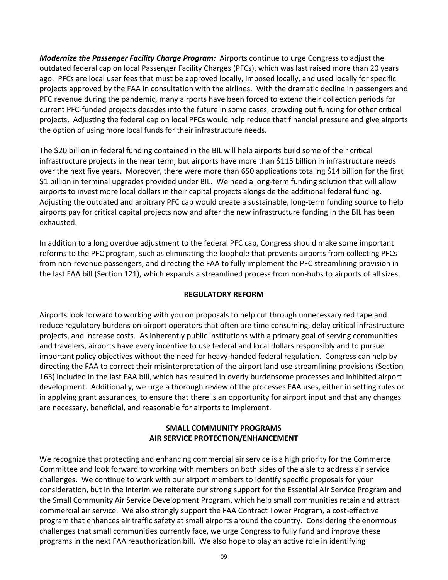*Modernize the Passenger Facility Charge Program:* Airports continue to urge Congress to adjust the outdated federal cap on local Passenger Facility Charges (PFCs), which was last raised more than 20 years ago. PFCs are local user fees that must be approved locally, imposed locally, and used locally for specific projects approved by the FAA in consultation with the airlines. With the dramatic decline in passengers and PFC revenue during the pandemic, many airports have been forced to extend their collection periods for current PFC-funded projects decades into the future in some cases, crowding out funding for other critical projects. Adjusting the federal cap on local PFCs would help reduce that financial pressure and give airports the option of using more local funds for their infrastructure needs.

The \$20 billion in federal funding contained in the BIL will help airports build some of their critical infrastructure projects in the near term, but airports have more than \$115 billion in infrastructure needs over the next five years. Moreover, there were more than 650 applications totaling \$14 billion for the first \$1 billion in terminal upgrades provided under BIL. We need a long-term funding solution that will allow airports to invest more local dollars in their capital projects alongside the additional federal funding. Adjusting the outdated and arbitrary PFC cap would create a sustainable, long-term funding source to help airports pay for critical capital projects now and after the new infrastructure funding in the BIL has been exhausted.

In addition to a long overdue adjustment to the federal PFC cap, Congress should make some important reforms to the PFC program, such as eliminating the loophole that prevents airports from collecting PFCs from non-revenue passengers, and directing the FAA to fully implement the PFC streamlining provision in the last FAA bill (Section 121), which expands a streamlined process from non-hubs to airports of all sizes.

## **REGULATORY REFORM**

Airports look forward to working with you on proposals to help cut through unnecessary red tape and reduce regulatory burdens on airport operators that often are time consuming, delay critical infrastructure projects, and increase costs. As inherently public institutions with a primary goal of serving communities and travelers, airports have every incentive to use federal and local dollars responsibly and to pursue important policy objectives without the need for heavy-handed federal regulation. Congress can help by directing the FAA to correct their misinterpretation of the airport land use streamlining provisions (Section 163) included in the last FAA bill, which has resulted in overly burdensome processes and inhibited airport development. Additionally, we urge a thorough review of the processes FAA uses, either in setting rules or in applying grant assurances, to ensure that there is an opportunity for airport input and that any changes are necessary, beneficial, and reasonable for airports to implement.

## **SMALL COMMUNITY PROGRAMS AIR SERVICE PROTECTION/ENHANCEMENT**

We recognize that protecting and enhancing commercial air service is a high priority for the Commerce Committee and look forward to working with members on both sides of the aisle to address air service challenges. We continue to work with our airport members to identify specific proposals for your consideration, but in the interim we reiterate our strong support for the Essential Air Service Program and the Small Community Air Service Development Program, which help small communities retain and attract commercial air service. We also strongly support the FAA Contract Tower Program, a cost-effective program that enhances air traffic safety at small airports around the country. Considering the enormous challenges that small communities currently face, we urge Congress to fully fund and improve these programs in the next FAA reauthorization bill. We also hope to play an active role in identifying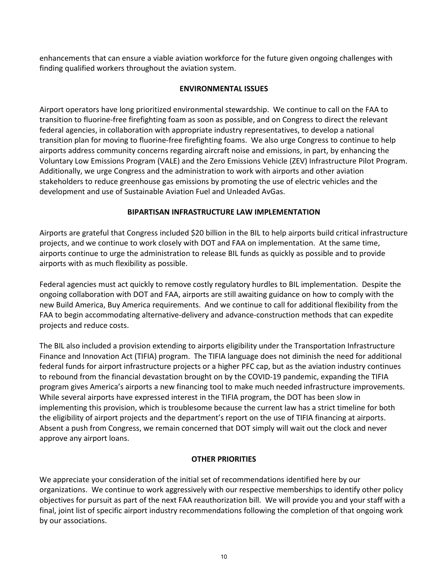enhancements that can ensure a viable aviation workforce for the future given ongoing challenges with finding qualified workers throughout the aviation system.

## **ENVIRONMENTAL ISSUES**

Airport operators have long prioritized environmental stewardship. We continue to call on the FAA to transition to fluorine-free firefighting foam as soon as possible, and on Congress to direct the relevant federal agencies, in collaboration with appropriate industry representatives, to develop a national transition plan for moving to fluorine-free firefighting foams. We also urge Congress to continue to help airports address community concerns regarding aircraft noise and emissions, in part, by enhancing the Voluntary Low Emissions Program (VALE) and the Zero Emissions Vehicle (ZEV) Infrastructure Pilot Program. Additionally, we urge Congress and the administration to work with airports and other aviation stakeholders to reduce greenhouse gas emissions by promoting the use of electric vehicles and the development and use of Sustainable Aviation Fuel and Unleaded AvGas.

## **BIPARTISAN INFRASTRUCTURE LAW IMPLEMENTATION**

Airports are grateful that Congress included \$20 billion in the BIL to help airports build critical infrastructure projects, and we continue to work closely with DOT and FAA on implementation. At the same time, airports continue to urge the administration to release BIL funds as quickly as possible and to provide airports with as much flexibility as possible.

Federal agencies must act quickly to remove costly regulatory hurdles to BIL implementation. Despite the ongoing collaboration with DOT and FAA, airports are still awaiting guidance on how to comply with the new Build America, Buy America requirements. And we continue to call for additional flexibility from the FAA to begin accommodating alternative-delivery and advance-construction methods that can expedite projects and reduce costs.

The BIL also included a provision extending to airports eligibility under the Transportation Infrastructure Finance and Innovation Act (TIFIA) program. The TIFIA language does not diminish the need for additional federal funds for airport infrastructure projects or a higher PFC cap, but as the aviation industry continues to rebound from the financial devastation brought on by the COVID-19 pandemic, expanding the TIFIA program gives America's airports a new financing tool to make much needed infrastructure improvements. While several airports have expressed interest in the TIFIA program, the DOT has been slow in implementing this provision, which is troublesome because the current law has a strict timeline for both the eligibility of airport projects and the department's report on the use of TIFIA financing at airports. Absent a push from Congress, we remain concerned that DOT simply will wait out the clock and never approve any airport loans.

## **OTHER PRIORITIES**

We appreciate your consideration of the initial set of recommendations identified here by our organizations. We continue to work aggressively with our respective memberships to identify other policy objectives for pursuit as part of the next FAA reauthorization bill. We will provide you and your staff with a final, joint list of specific airport industry recommendations following the completion of that ongoing work by our associations.